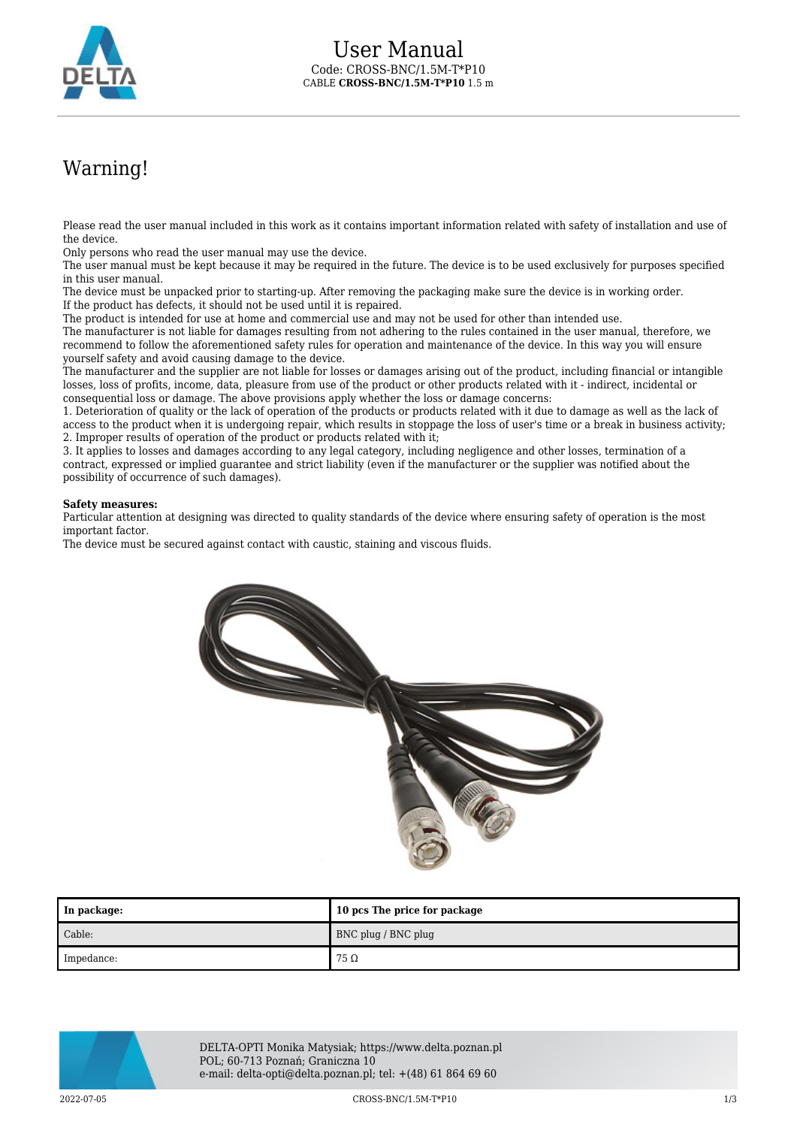

## Warning!

Please read the user manual included in this work as it contains important information related with safety of installation and use of the device.

Only persons who read the user manual may use the device.

The user manual must be kept because it may be required in the future. The device is to be used exclusively for purposes specified in this user manual.

The device must be unpacked prior to starting-up. After removing the packaging make sure the device is in working order. If the product has defects, it should not be used until it is repaired.

The product is intended for use at home and commercial use and may not be used for other than intended use.

The manufacturer is not liable for damages resulting from not adhering to the rules contained in the user manual, therefore, we recommend to follow the aforementioned safety rules for operation and maintenance of the device. In this way you will ensure yourself safety and avoid causing damage to the device.

The manufacturer and the supplier are not liable for losses or damages arising out of the product, including financial or intangible losses, loss of profits, income, data, pleasure from use of the product or other products related with it - indirect, incidental or consequential loss or damage. The above provisions apply whether the loss or damage concerns:

1. Deterioration of quality or the lack of operation of the products or products related with it due to damage as well as the lack of access to the product when it is undergoing repair, which results in stoppage the loss of user's time or a break in business activity; 2. Improper results of operation of the product or products related with it;

3. It applies to losses and damages according to any legal category, including negligence and other losses, termination of a contract, expressed or implied guarantee and strict liability (even if the manufacturer or the supplier was notified about the possibility of occurrence of such damages).

## **Safety measures:**

Particular attention at designing was directed to quality standards of the device where ensuring safety of operation is the most important factor.

The device must be secured against contact with caustic, staining and viscous fluids.



| In package: | 10 pcs The price for package |
|-------------|------------------------------|
| Cable:      | BNC plug / BNC plug          |
| Impedance:  | 75 $\Omega$                  |



DELTA-OPTI Monika Matysiak; https://www.delta.poznan.pl POL; 60-713 Poznań; Graniczna 10 e-mail: delta-opti@delta.poznan.pl; tel: +(48) 61 864 69 60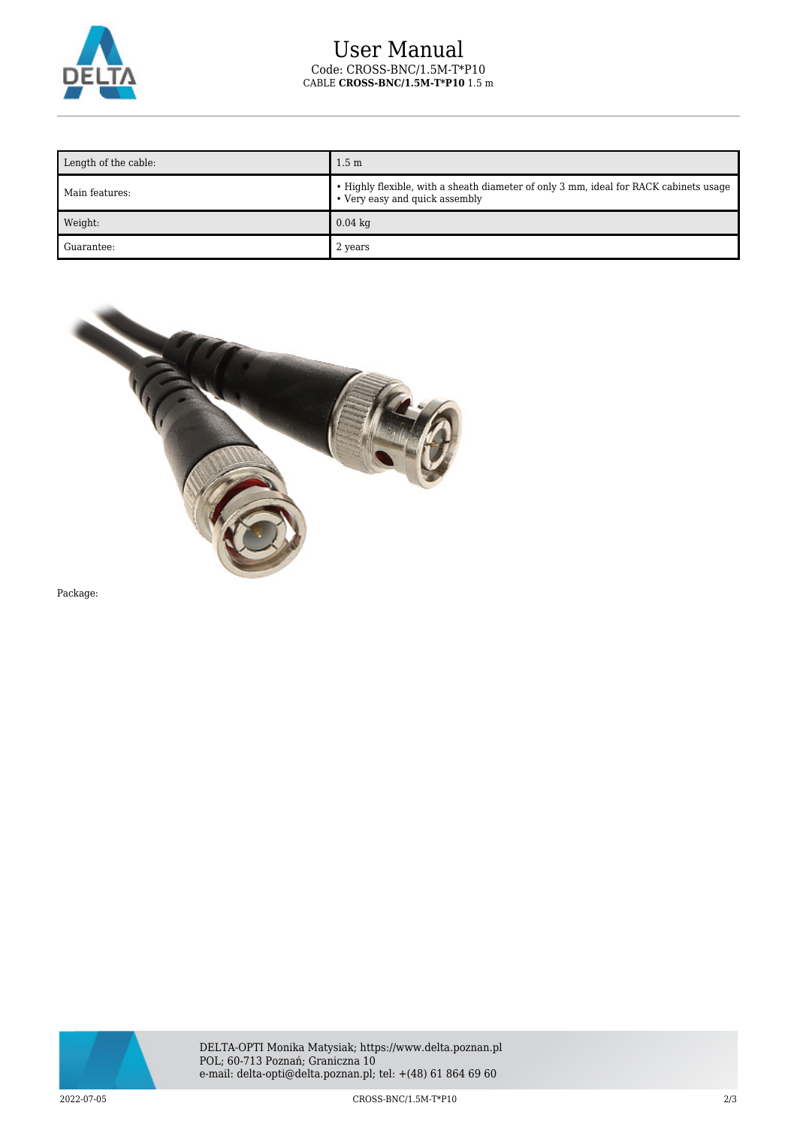

## User Manual Code: CROSS-BNC/1.5M-T\*P10 CABLE **CROSS-BNC/1.5M-T\*P10** 1.5 m

| Length of the cable: | 1.5 <sub>m</sub>                                                                                                        |
|----------------------|-------------------------------------------------------------------------------------------------------------------------|
| Main features:       | • Highly flexible, with a sheath diameter of only 3 mm, ideal for RACK cabinets usage<br>• Very easy and quick assembly |
| Weight:              | $0.04$ kg                                                                                                               |
| Guarantee:           | 2 years                                                                                                                 |



Package: